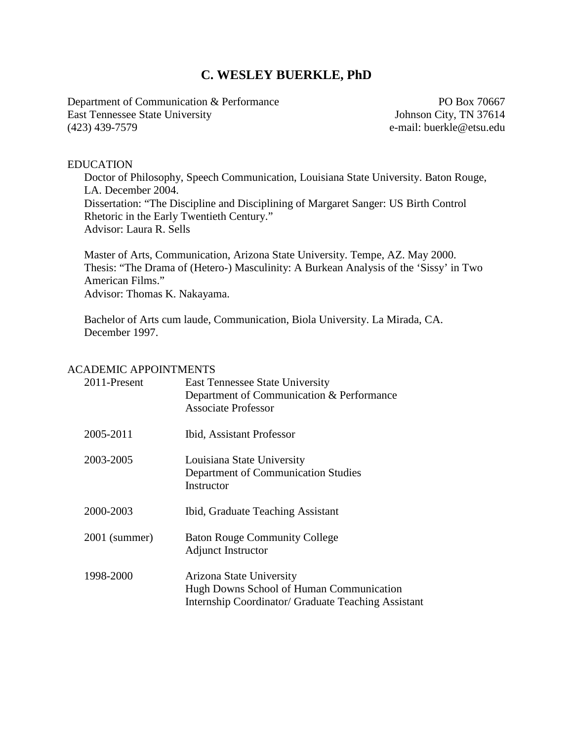# **C. WESLEY BUERKLE, PhD**

Department of Communication & Performance PO Box 70667 East Tennessee State University Johnson City, TN 37614 (423) 439-7579 e-mail: buerkle@etsu.edu

#### EDUCATION

Doctor of Philosophy, Speech Communication, Louisiana State University. Baton Rouge, LA. December 2004. Dissertation: "The Discipline and Disciplining of Margaret Sanger: US Birth Control Rhetoric in the Early Twentieth Century." Advisor: Laura R. Sells

Master of Arts, Communication, Arizona State University. Tempe, AZ. May 2000. Thesis: "The Drama of (Hetero-) Masculinity: A Burkean Analysis of the 'Sissy' in Two American Films." Advisor: Thomas K. Nakayama.

Bachelor of Arts cum laude, Communication, Biola University. La Mirada, CA. December 1997.

#### ACADEMIC APPOINTMENTS

| 2011-Present  | <b>East Tennessee State University</b><br>Department of Communication & Performance<br><b>Associate Professor</b>           |
|---------------|-----------------------------------------------------------------------------------------------------------------------------|
| 2005-2011     | <b>Ibid, Assistant Professor</b>                                                                                            |
| 2003-2005     | Louisiana State University<br>Department of Communication Studies<br>Instructor                                             |
| 2000-2003     | Ibid, Graduate Teaching Assistant                                                                                           |
| 2001 (summer) | <b>Baton Rouge Community College</b><br><b>Adjunct Instructor</b>                                                           |
| 1998-2000     | Arizona State University<br>Hugh Downs School of Human Communication<br>Internship Coordinator/ Graduate Teaching Assistant |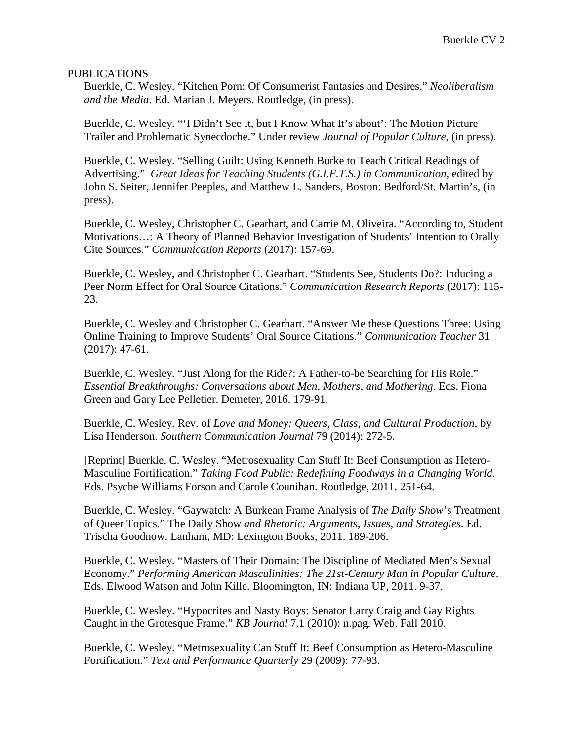#### PUBLICATIONS

Buerkle, C. Wesley. "Kitchen Porn: Of Consumerist Fantasies and Desires." *Neoliberalism and the Media*. Ed. Marian J. Meyers. Routledge, (in press).

Buerkle, C. Wesley. "'I Didn't See It, but I Know What It's about': The Motion Picture Trailer and Problematic Synecdoche." Under review *Journal of Popular Culture*, (in press).

Buerkle, C. Wesley. "Selling Guilt: Using Kenneth Burke to Teach Critical Readings of Advertising." *Great Ideas for Teaching Students (G.I.F.T.S.) in Communication*, edited by John S. Seiter, Jennifer Peeples, and Matthew L. Sanders, Boston: Bedford/St. Martin's, (in press).

Buerkle, C. Wesley, Christopher C. Gearhart, and Carrie M. Oliveira. "According to, Student Motivations…: A Theory of Planned Behavior Investigation of Students' Intention to Orally Cite Sources." *Communication Reports* (2017): 157-69.

Buerkle, C. Wesley, and Christopher C. Gearhart. "Students See, Students Do?: Inducing a Peer Norm Effect for Oral Source Citations." *Communication Research Reports* (2017): 115- 23.

Buerkle, C. Wesley and Christopher C. Gearhart. "Answer Me these Questions Three: Using Online Training to Improve Students' Oral Source Citations." *Communication Teacher* 31 (2017): 47-61.

Buerkle, C. Wesley. "Just Along for the Ride?: A Father-to-be Searching for His Role." *Essential Breakthroughs: Conversations about Men, Mothers, and Mothering.* Eds. Fiona Green and Gary Lee Pelletier. Demeter, 2016. 179-91.

Buerkle, C. Wesley. Rev. of *Love and Money: Queers, Class, and Cultural Production*, by Lisa Henderson. *Southern Communication Journal* 79 (2014): 272-5.

[Reprint] Buerkle, C. Wesley. "Metrosexuality Can Stuff It: Beef Consumption as Hetero-Masculine Fortification." *Taking Food Public: Redefining Foodways in a Changing World*. Eds. Psyche Williams Forson and Carole Counihan. Routledge, 2011. 251-64.

Buerkle, C. Wesley. "Gaywatch: A Burkean Frame Analysis of *The Daily Show*'s Treatment of Queer Topics." The Daily Show *and Rhetoric: Arguments, Issues, and Strategies*. Ed. Trischa Goodnow. Lanham, MD: Lexington Books, 2011. 189-206.

Buerkle, C. Wesley. "Masters of Their Domain: The Discipline of Mediated Men's Sexual Economy." *Performing American Masculinities: The 21st-Century Man in Popular Culture*. Eds. Elwood Watson and John Kille. Bloomington, IN: Indiana UP, 2011. 9-37.

Buerkle, C. Wesley. "Hypocrites and Nasty Boys: Senator Larry Craig and Gay Rights Caught in the Grotesque Frame." *KB Journal* 7.1 (2010): n.pag. Web. Fall 2010.

Buerkle, C. Wesley. "Metrosexuality Can Stuff It: Beef Consumption as Hetero-Masculine Fortification." *Text and Performance Quarterly* 29 (2009): 77-93.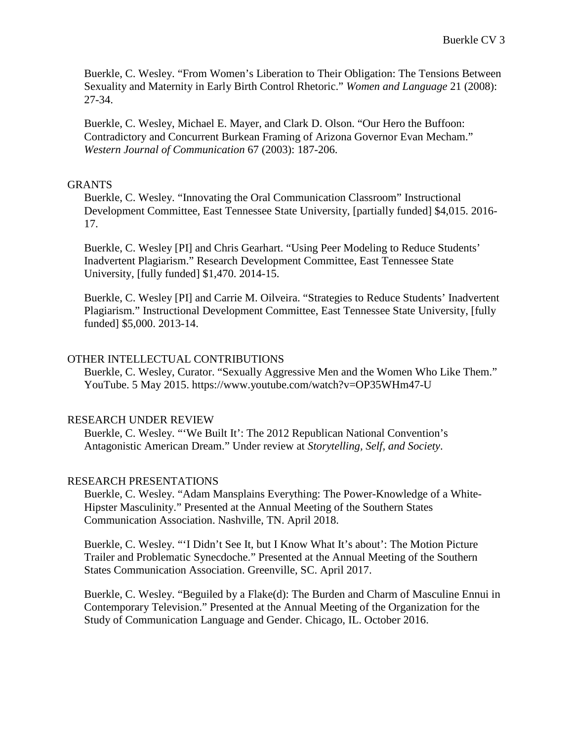Buerkle, C. Wesley. "From Women's Liberation to Their Obligation: The Tensions Between Sexuality and Maternity in Early Birth Control Rhetoric." *Women and Language* 21 (2008): 27-34.

Buerkle, C. Wesley, Michael E. Mayer, and Clark D. Olson. "Our Hero the Buffoon: Contradictory and Concurrent Burkean Framing of Arizona Governor Evan Mecham." *Western Journal of Communication* 67 (2003): 187-206.

### **GRANTS**

Buerkle, C. Wesley. "Innovating the Oral Communication Classroom" Instructional Development Committee, East Tennessee State University, [partially funded] \$4,015. 2016- 17.

Buerkle, C. Wesley [PI] and Chris Gearhart. "Using Peer Modeling to Reduce Students' Inadvertent Plagiarism." Research Development Committee, East Tennessee State University, [fully funded] \$1,470. 2014-15.

Buerkle, C. Wesley [PI] and Carrie M. Oilveira. "Strategies to Reduce Students' Inadvertent Plagiarism." Instructional Development Committee, East Tennessee State University, [fully funded] \$5,000. 2013-14.

## OTHER INTELLECTUAL CONTRIBUTIONS

Buerkle, C. Wesley, Curator. "Sexually Aggressive Men and the Women Who Like Them." YouTube. 5 May 2015. https://www.youtube.com/watch?v=OP35WHm47-U

### RESEARCH UNDER REVIEW

Buerkle, C. Wesley. "'We Built It': The 2012 Republican National Convention's Antagonistic American Dream." Under review at *Storytelling, Self, and Society*.

## RESEARCH PRESENTATIONS

Buerkle, C. Wesley. "Adam Mansplains Everything: The Power-Knowledge of a White-Hipster Masculinity." Presented at the Annual Meeting of the Southern States Communication Association. Nashville, TN. April 2018.

Buerkle, C. Wesley. "'I Didn't See It, but I Know What It's about': The Motion Picture Trailer and Problematic Synecdoche." Presented at the Annual Meeting of the Southern States Communication Association. Greenville, SC. April 2017.

Buerkle, C. Wesley. "Beguiled by a Flake(d): The Burden and Charm of Masculine Ennui in Contemporary Television." Presented at the Annual Meeting of the Organization for the Study of Communication Language and Gender. Chicago, IL. October 2016.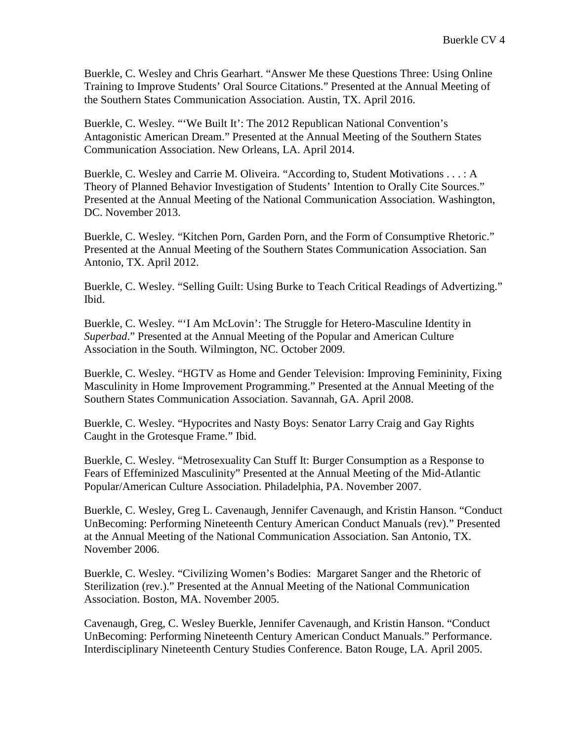Buerkle, C. Wesley and Chris Gearhart. "Answer Me these Questions Three: Using Online Training to Improve Students' Oral Source Citations." Presented at the Annual Meeting of the Southern States Communication Association. Austin, TX. April 2016.

Buerkle, C. Wesley. "'We Built It': The 2012 Republican National Convention's Antagonistic American Dream." Presented at the Annual Meeting of the Southern States Communication Association. New Orleans, LA. April 2014.

Buerkle, C. Wesley and Carrie M. Oliveira. "According to, Student Motivations . . . : A Theory of Planned Behavior Investigation of Students' Intention to Orally Cite Sources." Presented at the Annual Meeting of the National Communication Association. Washington, DC. November 2013.

Buerkle, C. Wesley. "Kitchen Porn, Garden Porn, and the Form of Consumptive Rhetoric." Presented at the Annual Meeting of the Southern States Communication Association. San Antonio, TX. April 2012.

Buerkle, C. Wesley. "Selling Guilt: Using Burke to Teach Critical Readings of Advertizing." Ibid.

Buerkle, C. Wesley. "'I Am McLovin': The Struggle for Hetero-Masculine Identity in *Superbad*." Presented at the Annual Meeting of the Popular and American Culture Association in the South. Wilmington, NC. October 2009.

Buerkle, C. Wesley. "HGTV as Home and Gender Television: Improving Femininity, Fixing Masculinity in Home Improvement Programming." Presented at the Annual Meeting of the Southern States Communication Association. Savannah, GA. April 2008.

Buerkle, C. Wesley. "Hypocrites and Nasty Boys: Senator Larry Craig and Gay Rights Caught in the Grotesque Frame." Ibid.

Buerkle, C. Wesley. "Metrosexuality Can Stuff It: Burger Consumption as a Response to Fears of Effeminized Masculinity" Presented at the Annual Meeting of the Mid-Atlantic Popular/American Culture Association. Philadelphia, PA. November 2007.

Buerkle, C. Wesley, Greg L. Cavenaugh, Jennifer Cavenaugh, and Kristin Hanson. "Conduct UnBecoming: Performing Nineteenth Century American Conduct Manuals (rev)." Presented at the Annual Meeting of the National Communication Association. San Antonio, TX. November 2006.

Buerkle, C. Wesley. "Civilizing Women's Bodies: Margaret Sanger and the Rhetoric of Sterilization (rev.)." Presented at the Annual Meeting of the National Communication Association. Boston, MA. November 2005.

Cavenaugh, Greg, C. Wesley Buerkle, Jennifer Cavenaugh, and Kristin Hanson. "Conduct UnBecoming: Performing Nineteenth Century American Conduct Manuals." Performance. Interdisciplinary Nineteenth Century Studies Conference. Baton Rouge, LA. April 2005.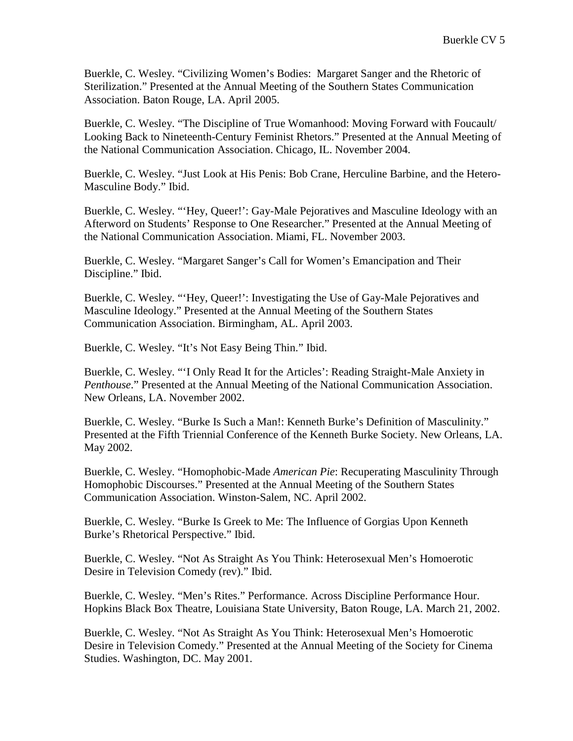Buerkle, C. Wesley. "Civilizing Women's Bodies: Margaret Sanger and the Rhetoric of Sterilization." Presented at the Annual Meeting of the Southern States Communication Association. Baton Rouge, LA. April 2005.

Buerkle, C. Wesley. "The Discipline of True Womanhood: Moving Forward with Foucault/ Looking Back to Nineteenth-Century Feminist Rhetors." Presented at the Annual Meeting of the National Communication Association. Chicago, IL. November 2004.

Buerkle, C. Wesley. "Just Look at His Penis: Bob Crane, Herculine Barbine, and the Hetero-Masculine Body." Ibid.

Buerkle, C. Wesley. "'Hey, Queer!': Gay-Male Pejoratives and Masculine Ideology with an Afterword on Students' Response to One Researcher." Presented at the Annual Meeting of the National Communication Association. Miami, FL. November 2003.

Buerkle, C. Wesley. "Margaret Sanger's Call for Women's Emancipation and Their Discipline." Ibid.

Buerkle, C. Wesley. "'Hey, Queer!': Investigating the Use of Gay-Male Pejoratives and Masculine Ideology." Presented at the Annual Meeting of the Southern States Communication Association. Birmingham, AL. April 2003.

Buerkle, C. Wesley. "It's Not Easy Being Thin." Ibid.

Buerkle, C. Wesley. "'I Only Read It for the Articles': Reading Straight-Male Anxiety in *Penthouse*." Presented at the Annual Meeting of the National Communication Association. New Orleans, LA. November 2002.

Buerkle, C. Wesley. "Burke Is Such a Man!: Kenneth Burke's Definition of Masculinity." Presented at the Fifth Triennial Conference of the Kenneth Burke Society. New Orleans, LA. May 2002.

Buerkle, C. Wesley. "Homophobic-Made *American Pie*: Recuperating Masculinity Through Homophobic Discourses." Presented at the Annual Meeting of the Southern States Communication Association. Winston-Salem, NC. April 2002.

Buerkle, C. Wesley. "Burke Is Greek to Me: The Influence of Gorgias Upon Kenneth Burke's Rhetorical Perspective." Ibid.

Buerkle, C. Wesley. "Not As Straight As You Think: Heterosexual Men's Homoerotic Desire in Television Comedy (rev)." Ibid.

Buerkle, C. Wesley. "Men's Rites." Performance. Across Discipline Performance Hour. Hopkins Black Box Theatre, Louisiana State University, Baton Rouge, LA. March 21, 2002.

Buerkle, C. Wesley. "Not As Straight As You Think: Heterosexual Men's Homoerotic Desire in Television Comedy." Presented at the Annual Meeting of the Society for Cinema Studies. Washington, DC. May 2001.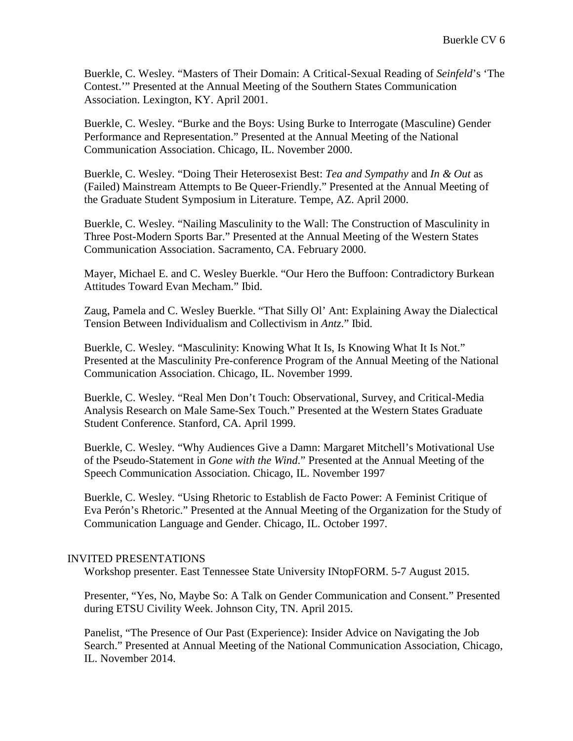Buerkle, C. Wesley. "Masters of Their Domain: A Critical-Sexual Reading of *Seinfeld*'s 'The Contest.'" Presented at the Annual Meeting of the Southern States Communication Association. Lexington, KY. April 2001.

Buerkle, C. Wesley. "Burke and the Boys: Using Burke to Interrogate (Masculine) Gender Performance and Representation." Presented at the Annual Meeting of the National Communication Association. Chicago, IL. November 2000.

Buerkle, C. Wesley. "Doing Their Heterosexist Best: *Tea and Sympathy* and *In & Out* as (Failed) Mainstream Attempts to Be Queer-Friendly." Presented at the Annual Meeting of the Graduate Student Symposium in Literature. Tempe, AZ. April 2000.

Buerkle, C. Wesley. "Nailing Masculinity to the Wall: The Construction of Masculinity in Three Post-Modern Sports Bar." Presented at the Annual Meeting of the Western States Communication Association. Sacramento, CA. February 2000.

Mayer, Michael E. and C. Wesley Buerkle. "Our Hero the Buffoon: Contradictory Burkean Attitudes Toward Evan Mecham." Ibid.

Zaug, Pamela and C. Wesley Buerkle. "That Silly Ol' Ant: Explaining Away the Dialectical Tension Between Individualism and Collectivism in *Antz*." Ibid.

Buerkle, C. Wesley. "Masculinity: Knowing What It Is, Is Knowing What It Is Not." Presented at the Masculinity Pre-conference Program of the Annual Meeting of the National Communication Association. Chicago, IL. November 1999.

Buerkle, C. Wesley. "Real Men Don't Touch: Observational, Survey, and Critical-Media Analysis Research on Male Same-Sex Touch." Presented at the Western States Graduate Student Conference. Stanford, CA. April 1999.

Buerkle, C. Wesley. "Why Audiences Give a Damn: Margaret Mitchell's Motivational Use of the Pseudo-Statement in *Gone with the Wind*." Presented at the Annual Meeting of the Speech Communication Association. Chicago, IL. November 1997

Buerkle, C. Wesley. "Using Rhetoric to Establish de Facto Power: A Feminist Critique of Eva Perón's Rhetoric." Presented at the Annual Meeting of the Organization for the Study of Communication Language and Gender. Chicago, IL. October 1997.

## INVITED PRESENTATIONS

Workshop presenter. East Tennessee State University INtopFORM. 5-7 August 2015.

Presenter, "Yes, No, Maybe So: A Talk on Gender Communication and Consent." Presented during ETSU Civility Week. Johnson City, TN. April 2015.

Panelist, "The Presence of Our Past (Experience): Insider Advice on Navigating the Job Search." Presented at Annual Meeting of the National Communication Association, Chicago, IL. November 2014.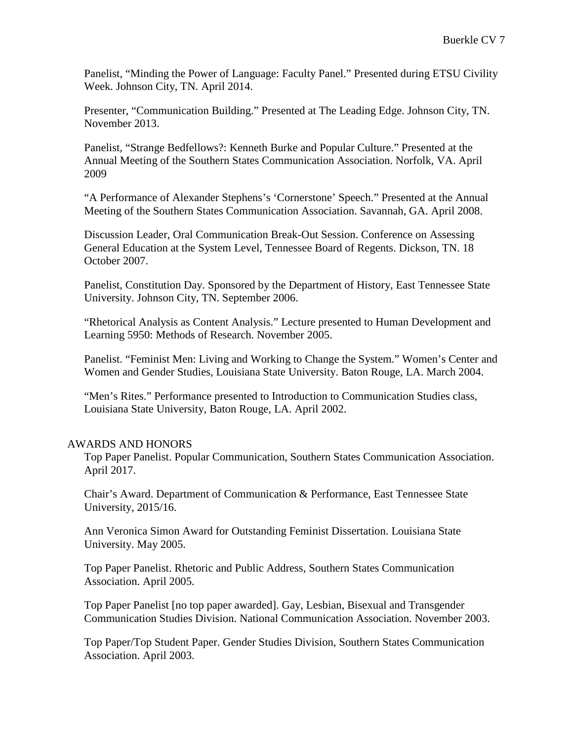Panelist, "Minding the Power of Language: Faculty Panel." Presented during ETSU Civility Week. Johnson City, TN. April 2014.

Presenter, "Communication Building." Presented at The Leading Edge. Johnson City, TN. November 2013.

Panelist, "Strange Bedfellows?: Kenneth Burke and Popular Culture." Presented at the Annual Meeting of the Southern States Communication Association. Norfolk, VA. April 2009

"A Performance of Alexander Stephens's 'Cornerstone' Speech." Presented at the Annual Meeting of the Southern States Communication Association. Savannah, GA. April 2008.

Discussion Leader, Oral Communication Break-Out Session. Conference on Assessing General Education at the System Level, Tennessee Board of Regents. Dickson, TN. 18 October 2007.

Panelist, Constitution Day. Sponsored by the Department of History, East Tennessee State University. Johnson City, TN. September 2006.

"Rhetorical Analysis as Content Analysis." Lecture presented to Human Development and Learning 5950: Methods of Research. November 2005.

Panelist. "Feminist Men: Living and Working to Change the System." Women's Center and Women and Gender Studies, Louisiana State University. Baton Rouge, LA. March 2004.

"Men's Rites." Performance presented to Introduction to Communication Studies class, Louisiana State University, Baton Rouge, LA. April 2002.

### AWARDS AND HONORS

Top Paper Panelist. Popular Communication, Southern States Communication Association. April 2017.

Chair's Award. Department of Communication & Performance, East Tennessee State University, 2015/16.

Ann Veronica Simon Award for Outstanding Feminist Dissertation. Louisiana State University. May 2005.

Top Paper Panelist. Rhetoric and Public Address, Southern States Communication Association. April 2005.

Top Paper Panelist [no top paper awarded]. Gay, Lesbian, Bisexual and Transgender Communication Studies Division. National Communication Association. November 2003.

Top Paper/Top Student Paper. Gender Studies Division, Southern States Communication Association. April 2003.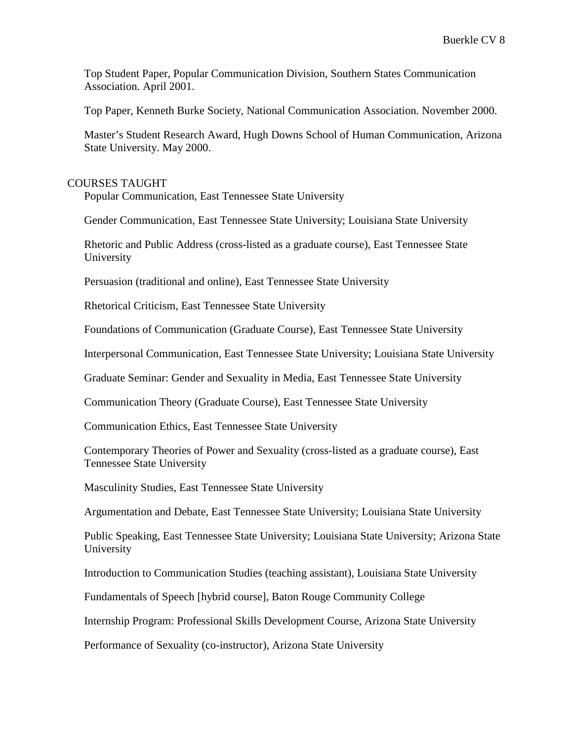Top Student Paper, Popular Communication Division, Southern States Communication Association. April 2001.

Top Paper, Kenneth Burke Society, National Communication Association. November 2000.

Master's Student Research Award, Hugh Downs School of Human Communication, Arizona State University. May 2000.

### COURSES TAUGHT

Popular Communication, East Tennessee State University

Gender Communication, East Tennessee State University; Louisiana State University

Rhetoric and Public Address (cross-listed as a graduate course), East Tennessee State University

Persuasion (traditional and online), East Tennessee State University

Rhetorical Criticism, East Tennessee State University

Foundations of Communication (Graduate Course), East Tennessee State University

Interpersonal Communication, East Tennessee State University; Louisiana State University

Graduate Seminar: Gender and Sexuality in Media, East Tennessee State University

Communication Theory (Graduate Course), East Tennessee State University

Communication Ethics, East Tennessee State University

Contemporary Theories of Power and Sexuality (cross-listed as a graduate course), East Tennessee State University

Masculinity Studies, East Tennessee State University

Argumentation and Debate, East Tennessee State University; Louisiana State University

Public Speaking, East Tennessee State University; Louisiana State University; Arizona State University

Introduction to Communication Studies (teaching assistant), Louisiana State University

Fundamentals of Speech [hybrid course], Baton Rouge Community College

Internship Program: Professional Skills Development Course, Arizona State University

Performance of Sexuality (co-instructor), Arizona State University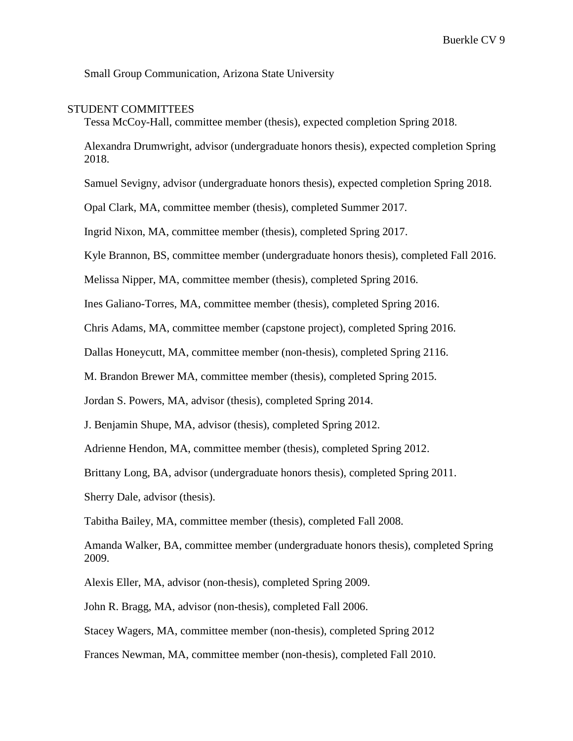Small Group Communication, Arizona State University

#### STUDENT COMMITTEES

Tessa McCoy-Hall, committee member (thesis), expected completion Spring 2018.

Alexandra Drumwright, advisor (undergraduate honors thesis), expected completion Spring 2018.

Samuel Sevigny, advisor (undergraduate honors thesis), expected completion Spring 2018.

Opal Clark, MA, committee member (thesis), completed Summer 2017.

Ingrid Nixon, MA, committee member (thesis), completed Spring 2017.

Kyle Brannon, BS, committee member (undergraduate honors thesis), completed Fall 2016.

Melissa Nipper, MA, committee member (thesis), completed Spring 2016.

Ines Galiano-Torres, MA, committee member (thesis), completed Spring 2016.

Chris Adams, MA, committee member (capstone project), completed Spring 2016.

Dallas Honeycutt, MA, committee member (non-thesis), completed Spring 2116.

M. Brandon Brewer MA, committee member (thesis), completed Spring 2015.

Jordan S. Powers, MA, advisor (thesis), completed Spring 2014.

J. Benjamin Shupe, MA, advisor (thesis), completed Spring 2012.

Adrienne Hendon, MA, committee member (thesis), completed Spring 2012.

Brittany Long, BA, advisor (undergraduate honors thesis), completed Spring 2011.

Sherry Dale, advisor (thesis).

Tabitha Bailey, MA, committee member (thesis), completed Fall 2008.

Amanda Walker, BA, committee member (undergraduate honors thesis), completed Spring 2009.

Alexis Eller, MA, advisor (non-thesis), completed Spring 2009.

John R. Bragg, MA, advisor (non-thesis), completed Fall 2006.

Stacey Wagers, MA, committee member (non-thesis), completed Spring 2012

Frances Newman, MA, committee member (non-thesis), completed Fall 2010.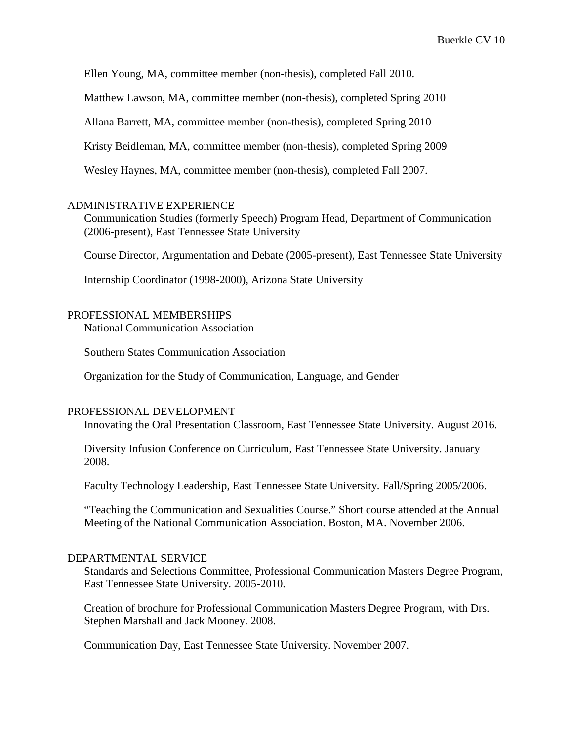Ellen Young, MA, committee member (non-thesis), completed Fall 2010.

Matthew Lawson, MA, committee member (non-thesis), completed Spring 2010

Allana Barrett, MA, committee member (non-thesis), completed Spring 2010

Kristy Beidleman, MA, committee member (non-thesis), completed Spring 2009

Wesley Haynes, MA, committee member (non-thesis), completed Fall 2007.

#### ADMINISTRATIVE EXPERIENCE

Communication Studies (formerly Speech) Program Head, Department of Communication (2006-present), East Tennessee State University

Course Director, Argumentation and Debate (2005-present), East Tennessee State University

Internship Coordinator (1998-2000), Arizona State University

#### PROFESSIONAL MEMBERSHIPS

National Communication Association

Southern States Communication Association

Organization for the Study of Communication, Language, and Gender

### PROFESSIONAL DEVELOPMENT

Innovating the Oral Presentation Classroom, East Tennessee State University. August 2016.

Diversity Infusion Conference on Curriculum, East Tennessee State University. January 2008.

Faculty Technology Leadership, East Tennessee State University. Fall/Spring 2005/2006.

"Teaching the Communication and Sexualities Course." Short course attended at the Annual Meeting of the National Communication Association. Boston, MA. November 2006.

## DEPARTMENTAL SERVICE

Standards and Selections Committee, Professional Communication Masters Degree Program, East Tennessee State University. 2005-2010.

Creation of brochure for Professional Communication Masters Degree Program, with Drs. Stephen Marshall and Jack Mooney. 2008.

Communication Day, East Tennessee State University. November 2007.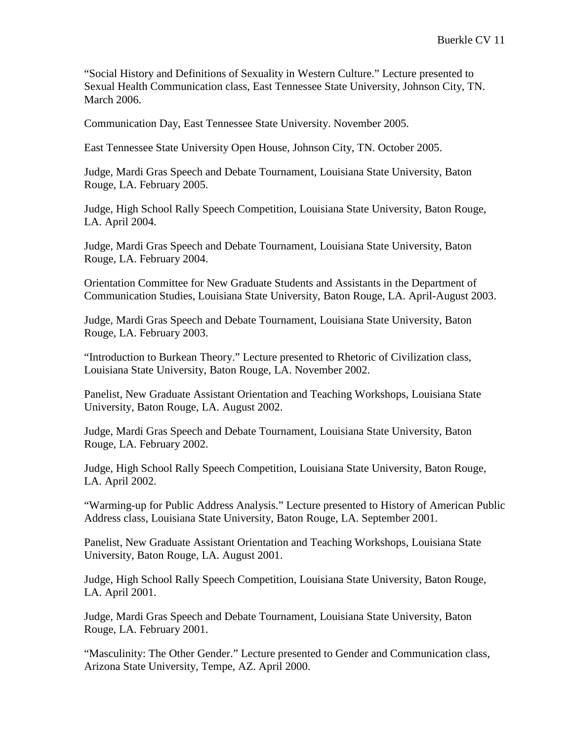"Social History and Definitions of Sexuality in Western Culture." Lecture presented to Sexual Health Communication class, East Tennessee State University, Johnson City, TN. March 2006.

Communication Day, East Tennessee State University. November 2005.

East Tennessee State University Open House, Johnson City, TN. October 2005.

Judge, Mardi Gras Speech and Debate Tournament, Louisiana State University, Baton Rouge, LA. February 2005.

Judge, High School Rally Speech Competition, Louisiana State University, Baton Rouge, LA. April 2004.

Judge, Mardi Gras Speech and Debate Tournament, Louisiana State University, Baton Rouge, LA. February 2004.

Orientation Committee for New Graduate Students and Assistants in the Department of Communication Studies, Louisiana State University, Baton Rouge, LA. April-August 2003.

Judge, Mardi Gras Speech and Debate Tournament, Louisiana State University, Baton Rouge, LA. February 2003.

"Introduction to Burkean Theory." Lecture presented to Rhetoric of Civilization class, Louisiana State University, Baton Rouge, LA. November 2002.

Panelist, New Graduate Assistant Orientation and Teaching Workshops, Louisiana State University, Baton Rouge, LA. August 2002.

Judge, Mardi Gras Speech and Debate Tournament, Louisiana State University, Baton Rouge, LA. February 2002.

Judge, High School Rally Speech Competition, Louisiana State University, Baton Rouge, LA. April 2002.

"Warming-up for Public Address Analysis." Lecture presented to History of American Public Address class, Louisiana State University, Baton Rouge, LA. September 2001.

Panelist, New Graduate Assistant Orientation and Teaching Workshops, Louisiana State University, Baton Rouge, LA. August 2001.

Judge, High School Rally Speech Competition, Louisiana State University, Baton Rouge, LA. April 2001.

Judge, Mardi Gras Speech and Debate Tournament, Louisiana State University, Baton Rouge, LA. February 2001.

"Masculinity: The Other Gender." Lecture presented to Gender and Communication class, Arizona State University, Tempe, AZ. April 2000.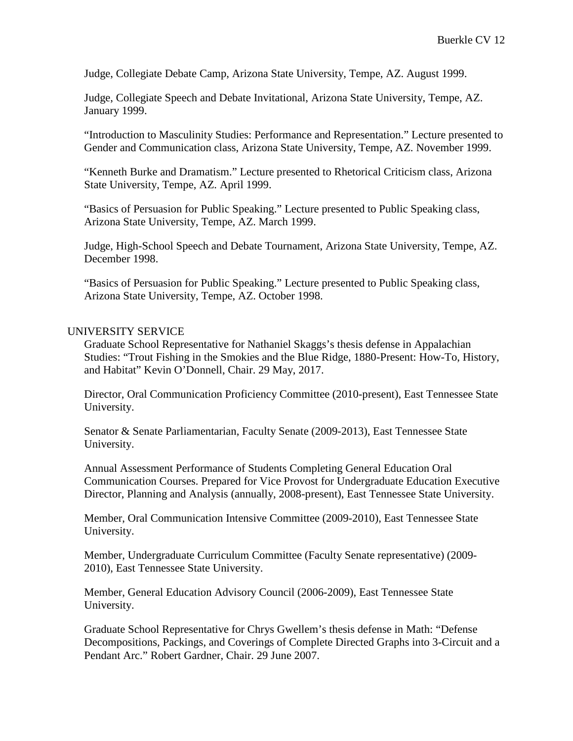Judge, Collegiate Debate Camp, Arizona State University, Tempe, AZ. August 1999.

Judge, Collegiate Speech and Debate Invitational, Arizona State University, Tempe, AZ. January 1999.

"Introduction to Masculinity Studies: Performance and Representation." Lecture presented to Gender and Communication class, Arizona State University, Tempe, AZ. November 1999.

"Kenneth Burke and Dramatism." Lecture presented to Rhetorical Criticism class, Arizona State University, Tempe, AZ. April 1999.

"Basics of Persuasion for Public Speaking." Lecture presented to Public Speaking class, Arizona State University, Tempe, AZ. March 1999.

Judge, High-School Speech and Debate Tournament, Arizona State University, Tempe, AZ. December 1998.

"Basics of Persuasion for Public Speaking." Lecture presented to Public Speaking class, Arizona State University, Tempe, AZ. October 1998.

### UNIVERSITY SERVICE

Graduate School Representative for Nathaniel Skaggs's thesis defense in Appalachian Studies: "Trout Fishing in the Smokies and the Blue Ridge, 1880-Present: How-To, History, and Habitat" Kevin O'Donnell, Chair. 29 May, 2017.

Director, Oral Communication Proficiency Committee (2010-present), East Tennessee State University.

Senator & Senate Parliamentarian, Faculty Senate (2009-2013), East Tennessee State University.

Annual Assessment Performance of Students Completing General Education Oral Communication Courses. Prepared for Vice Provost for Undergraduate Education Executive Director, Planning and Analysis (annually, 2008-present), East Tennessee State University.

Member, Oral Communication Intensive Committee (2009-2010), East Tennessee State University.

Member, Undergraduate Curriculum Committee (Faculty Senate representative) (2009- 2010), East Tennessee State University.

Member, General Education Advisory Council (2006-2009), East Tennessee State University.

Graduate School Representative for Chrys Gwellem's thesis defense in Math: "Defense Decompositions, Packings, and Coverings of Complete Directed Graphs into 3-Circuit and a Pendant Arc." Robert Gardner, Chair. 29 June 2007.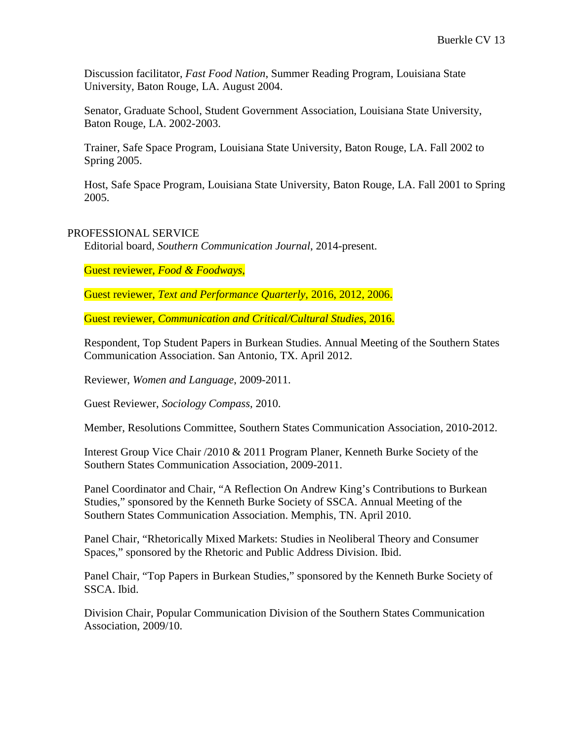Discussion facilitator, *Fast Food Nation*, Summer Reading Program, Louisiana State University, Baton Rouge, LA. August 2004.

Senator, Graduate School, Student Government Association, Louisiana State University, Baton Rouge, LA. 2002-2003.

Trainer, Safe Space Program, Louisiana State University, Baton Rouge, LA. Fall 2002 to Spring 2005.

Host, Safe Space Program, Louisiana State University, Baton Rouge, LA. Fall 2001 to Spring 2005.

## PROFESSIONAL SERVICE

Editorial board, *Southern Communication Journal*, 2014-present.

Guest reviewer, *Food & Foodways*,

Guest reviewer, *Text and Performance Quarterly*, 2016, 2012, 2006.

Guest reviewer, *Communication and Critical/Cultural Studies*, 2016.

Respondent, Top Student Papers in Burkean Studies. Annual Meeting of the Southern States Communication Association. San Antonio, TX. April 2012.

Reviewer, *Women and Language*, 2009-2011.

Guest Reviewer, *Sociology Compass*, 2010.

Member, Resolutions Committee, Southern States Communication Association, 2010-2012.

Interest Group Vice Chair /2010 & 2011 Program Planer, Kenneth Burke Society of the Southern States Communication Association, 2009-2011.

Panel Coordinator and Chair, "A Reflection On Andrew King's Contributions to Burkean Studies," sponsored by the Kenneth Burke Society of SSCA. Annual Meeting of the Southern States Communication Association. Memphis, TN. April 2010.

Panel Chair, "Rhetorically Mixed Markets: Studies in Neoliberal Theory and Consumer Spaces," sponsored by the Rhetoric and Public Address Division. Ibid.

Panel Chair, "Top Papers in Burkean Studies," sponsored by the Kenneth Burke Society of SSCA. Ibid.

Division Chair, Popular Communication Division of the Southern States Communication Association, 2009/10.